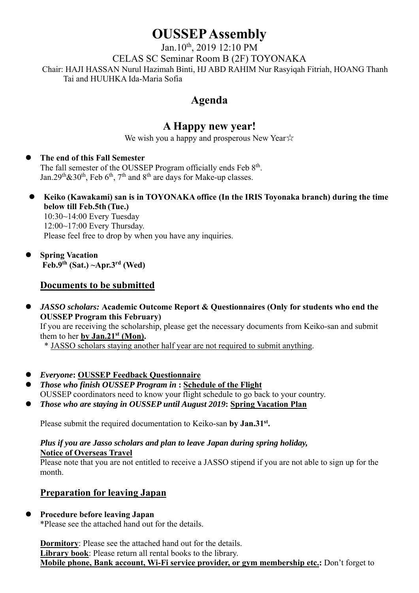# **OUSSEP Assembly**

Jan.10<sup>th</sup>, 2019 12:10 PM CELAS SC Seminar Room B (2F) TOYONAKA Chair: HAJI HASSAN Nurul Hazimah Binti, HJ ABD RAHIM Nur Rasyiqah Fitriah, HOANG Thanh Tai and HUUHKA Ida-Maria Sofia

# **Agenda**

# **A Happy new year!**

We wish you a happy and prosperous New Year☆

#### **The end of this Fall Semester**

The fall semester of the OUSSEP Program officially ends Feb 8<sup>th</sup>. Jan.29<sup>th</sup>&30<sup>th</sup>, Feb 6<sup>th</sup>, 7<sup>th</sup> and 8<sup>th</sup> are days for Make-up classes.

- **Keiko (Kawakami) san is in TOYONAKA office (In the IRIS Toyonaka branch) during the time below till Feb.5th (Tue.)** 10:30~14:00 Every Tuesday 12:00~17:00 Every Thursday. Please feel free to drop by when you have any inquiries.
- **Spring Vacation Feb.9th (Sat.) ~Apr.3rd (Wed)**

#### **Documents to be submitted**

 *JASSO scholars:* **Academic Outcome Report & Questionnaires (Only for students who end the OUSSEP Program this February)** If you are receiving the scholarship, please get the necessary documents from Keiko-san and submit them to her **by Jan.21st (Mon).** 

\* JASSO scholars staying another half year are not required to submit anything.

- *Everyone***: OUSSEP Feedback Questionnaire**
- *Those who finish OUSSEP Program in* **: Schedule of the Flight**  OUSSEP coordinators need to know your flight schedule to go back to your country.
- *Those who are staying in OUSSEP until August 2019***: Spring Vacation Plan**

Please submit the required documentation to Keiko-san by Jan.31<sup>st</sup>.

#### *Plus if you are Jasso scholars and plan to leave Japan during spring holiday,*  **Notice of Overseas Travel**

Please note that you are not entitled to receive a JASSO stipend if you are not able to sign up for the month.

### **Preparation for leaving Japan**

#### **Procedure before leaving Japan**

\*Please see the attached hand out for the details.

**Dormitory**: Please see the attached hand out for the details. **Library book**: Please return all rental books to the library. **Mobile phone, Bank account, Wi-Fi service provider, or gym membership etc.:** Don't forget to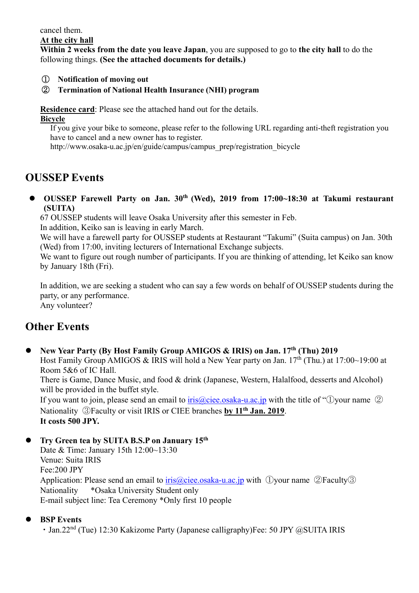cancel them.

#### **At the city hall**

**Within 2 weeks from the date you leave Japan**, you are supposed to go to **the city hall** to do the following things. **(See the attached documents for details.)** 

#### ① **Notification of moving out**

#### ② **Termination of National Health Insurance (NHI) program**

**Residence card**: Please see the attached hand out for the details.

#### **Bicycle**

If you give your bike to someone, please refer to the following URL regarding anti-theft registration you have to cancel and a new owner has to register.

http://www.osaka-u.ac.jp/en/guide/campus/campus\_prep/registration\_bicycle

## **OUSSEP Events**

**OUSSEP Farewell Party on Jan. 30<sup>th</sup> (Wed), 2019 from 17:00~18:30 at Takumi restaurant (SUITA)** 

67 OUSSEP students will leave Osaka University after this semester in Feb.

In addition, Keiko san is leaving in early March.

We will have a farewell party for OUSSEP students at Restaurant "Takumi" (Suita campus) on Jan. 30th (Wed) from 17:00, inviting lecturers of International Exchange subjects.

We want to figure out rough number of participants. If you are thinking of attending, let Keiko san know by January 18th (Fri).

In addition, we are seeking a student who can say a few words on behalf of OUSSEP students during the party, or any performance. Any volunteer?

# **Other Events**

**New Year Party (By Host Family Group AMIGOS & IRIS) on Jan. 17th (Thu) 2019** 

Host Family Group AMIGOS & IRIS will hold a New Year party on Jan. 17th (Thu.) at 17:00~19:00 at Room 5&6 of IC Hall.

There is Game, Dance Music, and food & drink (Japanese, Western, Halalfood, desserts and Alcohol) will be provided in the buffet style.

If you want to join, please send an email to iris@ciee.osaka-u.ac.jp with the title of "①your name ② Nationality ③Faculty or visit IRIS or CIEE branches **by 11th Jan. 2019**. **It costs 500 JPY.** 

**Try Green tea by SUITA B.S.P on January 15th**

Date & Time: January 15th 12:00~13:30 Venue: Suita IRIS Fee:200 JPY Application: Please send an email to  $iris@cice. osaka-u.ac.jp$  with  $\Box$ your name  $\Box$ Faculty $\Box$ Nationality \*Osaka University Student only E-mail subject line: Tea Ceremony \*Only first 10 people

#### **BSP Events**

• Jan.22<sup>nd</sup> (Tue) 12:30 Kakizome Party (Japanese calligraphy)Fee: 50 JPY @SUITA IRIS